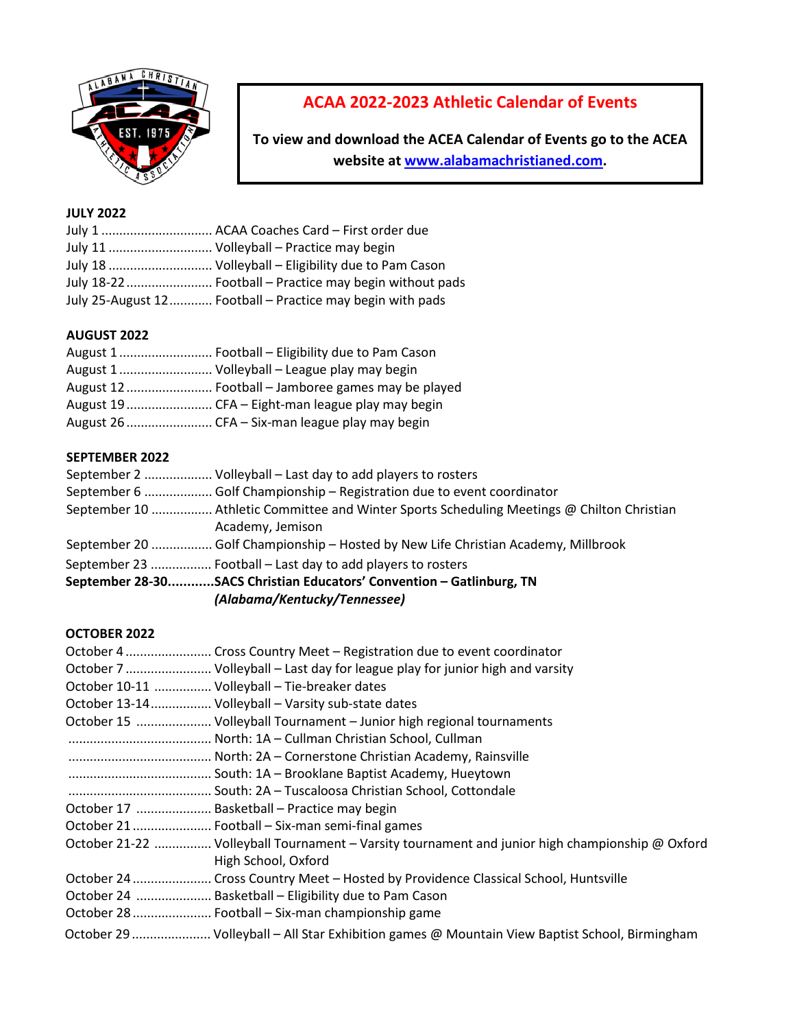

# **ACAA 2022-2023 Athletic Calendar of Events**

**To view and download the ACEA Calendar of Events go to the ACEA website a[t www.alabamachristianed.com.](http://www.alabamachristianed.com/)** 

# **JULY 2022**

|  | July 1  ACAA Coaches Card - First order due               |
|--|-----------------------------------------------------------|
|  | July 11  Volleyball – Practice may begin                  |
|  | July 18  Volleyball – Eligibility due to Pam Cason        |
|  | July 18-22  Football – Practice may begin without pads    |
|  | July 25-August 12 Football – Practice may begin with pads |

## **AUGUST 2022**

| August 1 Volleyball - League play may begin        |
|----------------------------------------------------|
| August 12  Football - Jamboree games may be played |
|                                                    |
|                                                    |

#### **SEPTEMBER 2022**

| September 2  Volleyball – Last day to add players to rosters                               |
|--------------------------------------------------------------------------------------------|
| September 6  Golf Championship - Registration due to event coordinator                     |
| September 10  Athletic Committee and Winter Sports Scheduling Meetings @ Chilton Christian |
| Academy, Jemison                                                                           |
| September 20  Golf Championship - Hosted by New Life Christian Academy, Millbrook          |
| September 23  Football – Last day to add players to rosters                                |
| September 28-30SACS Christian Educators' Convention - Gatlinburg, TN                       |
| (Alabama/Kentucky/Tennessee)                                                               |

# **OCTOBER 2022**

| October 7  Volleyball – Last day for league play for junior high and varsity                                           |
|------------------------------------------------------------------------------------------------------------------------|
| October 10-11  Volleyball - Tie-breaker dates                                                                          |
| October 13-14 Volleyball - Varsity sub-state dates                                                                     |
| October 15  Volleyball Tournament - Junior high regional tournaments                                                   |
|                                                                                                                        |
|                                                                                                                        |
|                                                                                                                        |
|                                                                                                                        |
| October 17  Basketball – Practice may begin                                                                            |
|                                                                                                                        |
| October 21-22  Volleyball Tournament - Varsity tournament and junior high championship @ Oxford<br>High School, Oxford |
| October 24  Cross Country Meet - Hosted by Providence Classical School, Huntsville                                     |
| October 24  Basketball - Eligibility due to Pam Cason                                                                  |
| October 28  Football - Six-man championship game                                                                       |
| October 29  Volleyball - All Star Exhibition games @ Mountain View Baptist School, Birmingham                          |